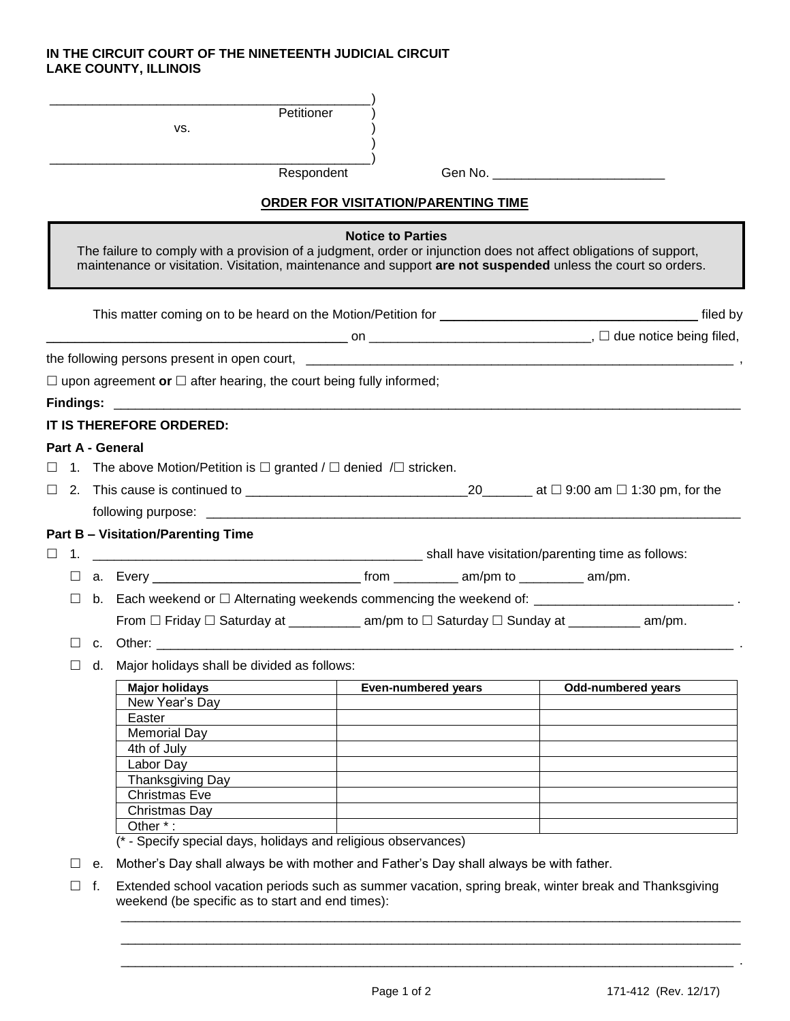## **IN THE CIRCUIT COURT OF THE NINETEENTH JUDICIAL CIRCUIT LAKE COUNTY, ILLINOIS**

|                                                                                                                                                                                                                                                               |                                                                                                                                                                      |                                                                                                                  | VS.                                                                                                                                                                                                                           | Petitioner<br>Respondent   |                           |  |  |  |  |
|---------------------------------------------------------------------------------------------------------------------------------------------------------------------------------------------------------------------------------------------------------------|----------------------------------------------------------------------------------------------------------------------------------------------------------------------|------------------------------------------------------------------------------------------------------------------|-------------------------------------------------------------------------------------------------------------------------------------------------------------------------------------------------------------------------------|----------------------------|---------------------------|--|--|--|--|
| ORDER FOR VISITATION/PARENTING TIME                                                                                                                                                                                                                           |                                                                                                                                                                      |                                                                                                                  |                                                                                                                                                                                                                               |                            |                           |  |  |  |  |
| <b>Notice to Parties</b><br>The failure to comply with a provision of a judgment, order or injunction does not affect obligations of support,<br>maintenance or visitation. Visitation, maintenance and support are not suspended unless the court so orders. |                                                                                                                                                                      |                                                                                                                  |                                                                                                                                                                                                                               |                            |                           |  |  |  |  |
|                                                                                                                                                                                                                                                               |                                                                                                                                                                      |                                                                                                                  |                                                                                                                                                                                                                               |                            |                           |  |  |  |  |
|                                                                                                                                                                                                                                                               |                                                                                                                                                                      |                                                                                                                  |                                                                                                                                                                                                                               |                            |                           |  |  |  |  |
|                                                                                                                                                                                                                                                               |                                                                                                                                                                      |                                                                                                                  |                                                                                                                                                                                                                               |                            |                           |  |  |  |  |
|                                                                                                                                                                                                                                                               |                                                                                                                                                                      |                                                                                                                  | $\Box$ upon agreement or $\Box$ after hearing, the court being fully informed;                                                                                                                                                |                            |                           |  |  |  |  |
|                                                                                                                                                                                                                                                               |                                                                                                                                                                      |                                                                                                                  | Findings: the contract of the contract of the contract of the contract of the contract of the contract of the contract of the contract of the contract of the contract of the contract of the contract of the contract of the |                            |                           |  |  |  |  |
|                                                                                                                                                                                                                                                               |                                                                                                                                                                      |                                                                                                                  | IT IS THEREFORE ORDERED:                                                                                                                                                                                                      |                            |                           |  |  |  |  |
|                                                                                                                                                                                                                                                               |                                                                                                                                                                      |                                                                                                                  | Part A - General                                                                                                                                                                                                              |                            |                           |  |  |  |  |
|                                                                                                                                                                                                                                                               |                                                                                                                                                                      |                                                                                                                  | $\Box$ 1. The above Motion/Petition is $\Box$ granted / $\Box$ denied / $\Box$ stricken.                                                                                                                                      |                            |                           |  |  |  |  |
|                                                                                                                                                                                                                                                               |                                                                                                                                                                      |                                                                                                                  |                                                                                                                                                                                                                               |                            |                           |  |  |  |  |
|                                                                                                                                                                                                                                                               |                                                                                                                                                                      |                                                                                                                  |                                                                                                                                                                                                                               |                            |                           |  |  |  |  |
|                                                                                                                                                                                                                                                               |                                                                                                                                                                      |                                                                                                                  | <b>Part B - Visitation/Parenting Time</b>                                                                                                                                                                                     |                            |                           |  |  |  |  |
| $\Box$                                                                                                                                                                                                                                                        | 1.                                                                                                                                                                   |                                                                                                                  |                                                                                                                                                                                                                               |                            |                           |  |  |  |  |
|                                                                                                                                                                                                                                                               | ப                                                                                                                                                                    |                                                                                                                  |                                                                                                                                                                                                                               |                            |                           |  |  |  |  |
|                                                                                                                                                                                                                                                               | Ш                                                                                                                                                                    |                                                                                                                  |                                                                                                                                                                                                                               |                            |                           |  |  |  |  |
|                                                                                                                                                                                                                                                               |                                                                                                                                                                      | From $\Box$ Friday $\Box$ Saturday at _____________ am/pm to $\Box$ Saturday $\Box$ Sunday at ___________ am/pm. |                                                                                                                                                                                                                               |                            |                           |  |  |  |  |
|                                                                                                                                                                                                                                                               |                                                                                                                                                                      |                                                                                                                  |                                                                                                                                                                                                                               |                            |                           |  |  |  |  |
|                                                                                                                                                                                                                                                               |                                                                                                                                                                      |                                                                                                                  | d. Major holidays shall be divided as follows:                                                                                                                                                                                |                            |                           |  |  |  |  |
|                                                                                                                                                                                                                                                               |                                                                                                                                                                      |                                                                                                                  |                                                                                                                                                                                                                               |                            |                           |  |  |  |  |
|                                                                                                                                                                                                                                                               |                                                                                                                                                                      |                                                                                                                  | <b>Major holidays</b><br>New Year's Day                                                                                                                                                                                       | <b>Even-numbered years</b> | <b>Odd-numbered years</b> |  |  |  |  |
|                                                                                                                                                                                                                                                               |                                                                                                                                                                      |                                                                                                                  | Easter                                                                                                                                                                                                                        |                            |                           |  |  |  |  |
|                                                                                                                                                                                                                                                               |                                                                                                                                                                      |                                                                                                                  | <b>Memorial Day</b>                                                                                                                                                                                                           |                            |                           |  |  |  |  |
|                                                                                                                                                                                                                                                               |                                                                                                                                                                      |                                                                                                                  | 4th of July                                                                                                                                                                                                                   |                            |                           |  |  |  |  |
|                                                                                                                                                                                                                                                               |                                                                                                                                                                      |                                                                                                                  | Labor Day                                                                                                                                                                                                                     |                            |                           |  |  |  |  |
|                                                                                                                                                                                                                                                               |                                                                                                                                                                      |                                                                                                                  | Thanksgiving Day<br><b>Christmas Eve</b>                                                                                                                                                                                      |                            |                           |  |  |  |  |
|                                                                                                                                                                                                                                                               |                                                                                                                                                                      |                                                                                                                  | Christmas Day                                                                                                                                                                                                                 |                            |                           |  |  |  |  |
|                                                                                                                                                                                                                                                               |                                                                                                                                                                      |                                                                                                                  | Other *:                                                                                                                                                                                                                      |                            |                           |  |  |  |  |
|                                                                                                                                                                                                                                                               |                                                                                                                                                                      |                                                                                                                  | (* - Specify special days, holidays and religious observances)                                                                                                                                                                |                            |                           |  |  |  |  |
|                                                                                                                                                                                                                                                               |                                                                                                                                                                      | е.                                                                                                               | Mother's Day shall always be with mother and Father's Day shall always be with father.                                                                                                                                        |                            |                           |  |  |  |  |
|                                                                                                                                                                                                                                                               | Extended school vacation periods such as summer vacation, spring break, winter break and Thanksgiving<br>f.<br>П<br>weekend (be specific as to start and end times): |                                                                                                                  |                                                                                                                                                                                                                               |                            |                           |  |  |  |  |

\_\_\_\_\_\_\_\_\_\_\_\_\_\_\_\_\_\_\_\_\_\_\_\_\_\_\_\_\_\_\_\_\_\_\_\_\_\_\_\_\_\_\_\_\_\_\_\_\_\_\_\_\_\_\_\_\_\_\_\_\_\_\_\_\_\_\_\_\_\_\_\_\_\_\_\_\_\_\_\_\_\_\_\_\_\_\_ \_\_\_\_\_\_\_\_\_\_\_\_\_\_\_\_\_\_\_\_\_\_\_\_\_\_\_\_\_\_\_\_\_\_\_\_\_\_\_\_\_\_\_\_\_\_\_\_\_\_\_\_\_\_\_\_\_\_\_\_\_\_\_\_\_\_\_\_\_\_\_\_\_\_\_\_\_\_\_\_\_\_\_\_\_\_ .